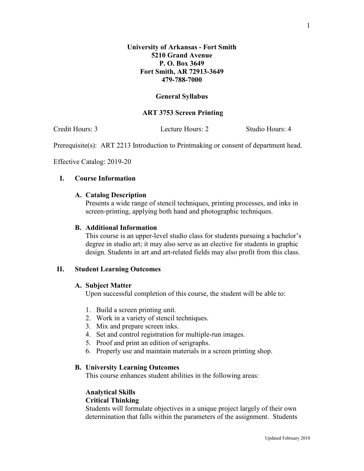## **General Syllabus**

## **ART 3753 Screen Printing**

Credit Hours: 3 Lecture Hours: 2 Studio Hours: 4

Prerequisite(s): ART 2213 Introduction to Printmaking or consent of department head.

Effective Catalog: 2019-20

#### **I. Course Information**

#### **A. Catalog Description**

Presents a wide range of stencil techniques, printing processes, and inks in screen-printing, applying both hand and photographic techniques.

#### **B. Additional Information**

This course is an upper-level studio class for students pursuing a bachelor's degree in studio art; it may also serve as an elective for students in graphic design. Students in art and art-related fields may also profit from this class.

## **II. Student Learning Outcomes**

#### **A. Subject Matter**

Upon successful completion of this course, the student will be able to:

- 1. Build a screen printing unit.
- 2. Work in a variety of stencil techniques.
- 3. Mix and prepare screen inks.
- 4. Set and control registration for multiple-run images.
- 5. Proof and print an edition of serigraphs.
- 6. Properly use and maintain materials in a screen printing shop.

## **B. University Learning Outcomes**

This course enhances student abilities in the following areas:

#### **Analytical Skills**

# **Critical Thinking**

Students will formulate objectives in a unique project largely of their own determination that falls within the parameters of the assignment. Students